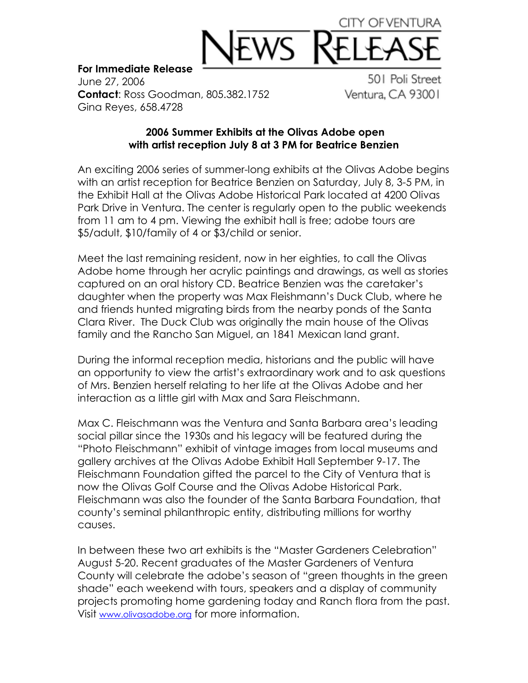## CITY OF VENTUF

## **For Immediate Release**

June 27, 2006 **Contact**: Ross Goodman, 805.382.1752 Gina Reyes, 658.4728

501 Poli Street Ventura, CA 93001

## **2006 Summer Exhibits at the Olivas Adobe open with artist reception July 8 at 3 PM for Beatrice Benzien**

An exciting 2006 series of summer-long exhibits at the Olivas Adobe begins with an artist reception for Beatrice Benzien on Saturday, July 8, 3-5 PM, in the Exhibit Hall at the Olivas Adobe Historical Park located at 4200 Olivas Park Drive in Ventura. The center is regularly open to the public weekends from 11 am to 4 pm. Viewing the exhibit hall is free; adobe tours are \$5/adult, \$10/family of 4 or \$3/child or senior.

Meet the last remaining resident, now in her eighties, to call the Olivas Adobe home through her acrylic paintings and drawings, as well as stories captured on an oral history CD. Beatrice Benzien was the caretaker's daughter when the property was Max Fleishmann's Duck Club, where he and friends hunted migrating birds from the nearby ponds of the Santa Clara River. The Duck Club was originally the main house of the Olivas family and the Rancho San Miguel, an 1841 Mexican land grant.

During the informal reception media, historians and the public will have an opportunity to view the artist's extraordinary work and to ask questions of Mrs. Benzien herself relating to her life at the Olivas Adobe and her interaction as a little girl with Max and Sara Fleischmann.

Max C. Fleischmann was the Ventura and Santa Barbara area's leading social pillar since the 1930s and his legacy will be featured during the "Photo Fleischmann" exhibit of vintage images from local museums and gallery archives at the Olivas Adobe Exhibit Hall September 9-17. The Fleischmann Foundation gifted the parcel to the City of Ventura that is now the Olivas Golf Course and the Olivas Adobe Historical Park. Fleischmann was also the founder of the Santa Barbara Foundation, that county's seminal philanthropic entity, distributing millions for worthy causes.

In between these two art exhibits is the "Master Gardeners Celebration" August 5-20. Recent graduates of the Master Gardeners of Ventura County will celebrate the adobe's season of "green thoughts in the green shade" each weekend with tours, speakers and a display of community projects promoting home gardening today and Ranch flora from the past. Visit www.olivasadobe.org for more information.